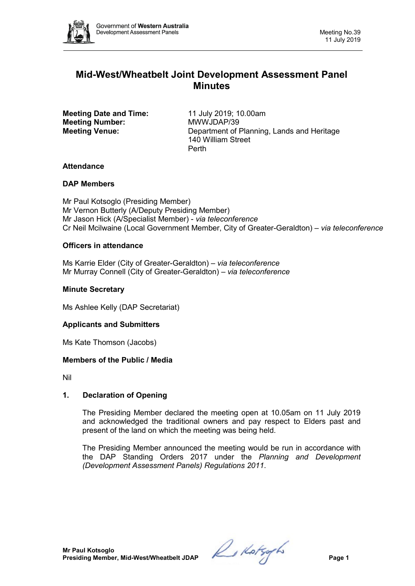

# **Mid-West/Wheatbelt Joint Development Assessment Panel Minutes**

**Meeting Date and Time:** 11 July 2019; 10.00am<br> **Meeting Number:** MWWJDAP/39 **Meeting Number:** 

**Meeting Venue:** Department of Planning, Lands and Heritage 140 William Street Perth

# **Attendance**

# **DAP Members**

Mr Paul Kotsoglo (Presiding Member) Mr Vernon Butterly (A/Deputy Presiding Member) Mr Jason Hick (A/Specialist Member) - *via teleconference* Cr Neil Mcilwaine (Local Government Member, City of Greater-Geraldton) – *via teleconference*

# **Officers in attendance**

Ms Karrie Elder (City of Greater-Geraldton) *– via teleconference* Mr Murray Connell (City of Greater-Geraldton) *– via teleconference*

# **Minute Secretary**

Ms Ashlee Kelly (DAP Secretariat)

## **Applicants and Submitters**

Ms Kate Thomson (Jacobs)

## **Members of the Public / Media**

Nil

## **1. Declaration of Opening**

The Presiding Member declared the meeting open at 10.05am on 11 July 2019 and acknowledged the traditional owners and pay respect to Elders past and present of the land on which the meeting was being held.

The Presiding Member announced the meeting would be run in accordance with the DAP Standing Orders 2017 under the *Planning and Development (Development Assessment Panels) Regulations 2011*.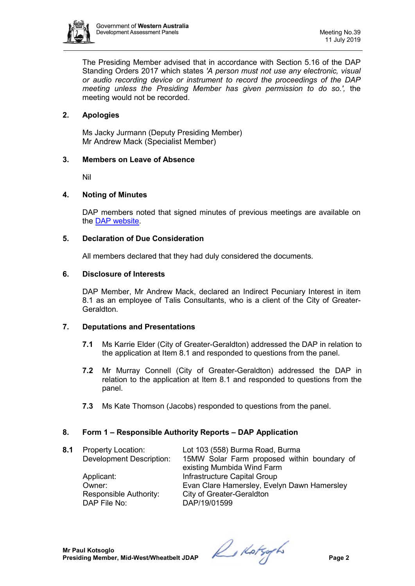

The Presiding Member advised that in accordance with Section 5.16 of the DAP Standing Orders 2017 which states *'A person must not use any electronic, visual or audio recording device or instrument to record the proceedings of the DAP meeting unless the Presiding Member has given permission to do so.',* the meeting would not be recorded.

# **2. Apologies**

Ms Jacky Jurmann (Deputy Presiding Member) Mr Andrew Mack (Specialist Member)

## **3. Members on Leave of Absence**

Nil

#### **4. Noting of Minutes**

DAP members noted that signed minutes of previous meetings are available on the [DAP website.](https://www.dplh.wa.gov.au/about/development-assessment-panels/daps-agendas-and-minutes)

#### **5. Declaration of Due Consideration**

All members declared that they had duly considered the documents.

#### **6. Disclosure of Interests**

DAP Member, Mr Andrew Mack, declared an Indirect Pecuniary Interest in item 8.1 as an employee of Talis Consultants, who is a client of the City of Greater-Geraldton.

## **7. Deputations and Presentations**

- **7.1** Ms Karrie Elder (City of Greater-Geraldton) addressed the DAP in relation to the application at Item 8.1 and responded to questions from the panel.
- **7.2** Mr Murray Connell (City of Greater-Geraldton) addressed the DAP in relation to the application at Item 8.1 and responded to questions from the panel.
- **7.3** Ms Kate Thomson (Jacobs) responded to questions from the panel.

## **8. Form 1 – Responsible Authority Reports – DAP Application**

**8.1** Property Location: Lot 103 (558) Burma Road, Burma Development Description: 15MW Solar Farm proposed within boundary of existing Mumbida Wind Farm Applicant: **Infrastructure Capital Group** Owner: Evan Clare Hamersley, Evelyn Dawn Hamersley Responsible Authority: City of Greater-Geraldton<br>DAP File No: DAP/19/01599 DAP/19/01599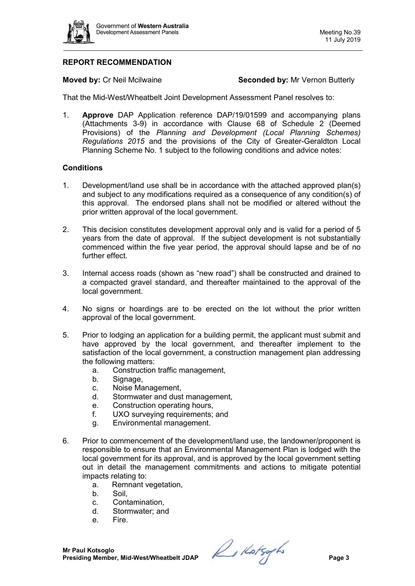

# **REPORT RECOMMENDATION**

**Moved by:** Cr Neil Mcilwaine **Seconded by:** Mr Vernon Butterly

That the Mid-West/Wheatbelt Joint Development Assessment Panel resolves to:

1. **Approve** DAP Application reference DAP/19/01599 and accompanying plans (Attachments 3-9) in accordance with Clause 68 of Schedule 2 (Deemed Provisions) of the *Planning and Development (Local Planning Schemes) Regulations 2015* and the provisions of the City of Greater-Geraldton Local Planning Scheme No. 1 subject to the following conditions and advice notes:

#### **Conditions**

- 1. Development/land use shall be in accordance with the attached approved plan(s) and subject to any modifications required as a consequence of any condition(s) of this approval. The endorsed plans shall not be modified or altered without the prior written approval of the local government.
- 2. This decision constitutes development approval only and is valid for a period of 5 years from the date of approval. If the subject development is not substantially commenced within the five year period, the approval should lapse and be of no further effect.
- 3. Internal access roads (shown as "new road") shall be constructed and drained to a compacted gravel standard, and thereafter maintained to the approval of the local government.
- 4. No signs or hoardings are to be erected on the lot without the prior written approval of the local government.
- 5. Prior to lodging an application for a building permit, the applicant must submit and have approved by the local government, and thereafter implement to the satisfaction of the local government, a construction management plan addressing the following matters:
	- a. Construction traffic management,
	- b. Signage,
	- c. Noise Management,
	- d. Stormwater and dust management,
	- e. Construction operating hours,
	- f. UXO surveying requirements; and
	- g. Environmental management.
- 6. Prior to commencement of the development/land use, the landowner/proponent is responsible to ensure that an Environmental Management Plan is lodged with the local government for its approval, and is approved by the local government setting out in detail the management commitments and actions to mitigate potential impacts relating to:
	- a. Remnant vegetation,
	- b. Soil,
	- c. Contamination,
	- d. Stormwater; and
	- e. Fire.

**Mr Paul Kotsoglo Presiding Member, Mid-West/Wheatbelt JDAP** *Presiding Member, Mid-West/Wheatbelt JDAP*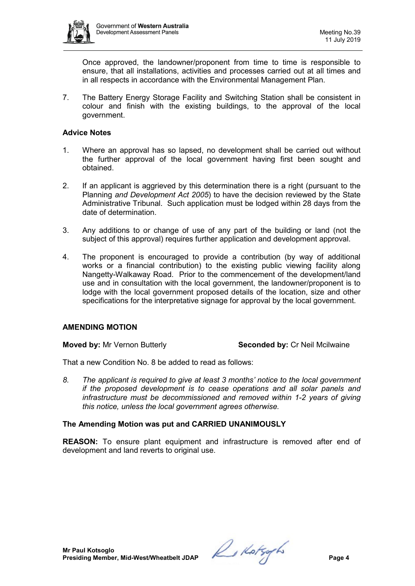

Once approved, the landowner/proponent from time to time is responsible to ensure, that all installations, activities and processes carried out at all times and in all respects in accordance with the Environmental Management Plan.

7. The Battery Energy Storage Facility and Switching Station shall be consistent in colour and finish with the existing buildings, to the approval of the local government.

#### **Advice Notes**

- 1. Where an approval has so lapsed, no development shall be carried out without the further approval of the local government having first been sought and obtained.
- 2. If an applicant is aggrieved by this determination there is a right (pursuant to the Planning *and Development Act 2005*) to have the decision reviewed by the State Administrative Tribunal. Such application must be lodged within 28 days from the date of determination.
- 3. Any additions to or change of use of any part of the building or land (not the subject of this approval) requires further application and development approval.
- 4. The proponent is encouraged to provide a contribution (by way of additional works or a financial contribution) to the existing public viewing facility along Nangetty-Walkaway Road. Prior to the commencement of the development/land use and in consultation with the local government, the landowner/proponent is to lodge with the local government proposed details of the location, size and other specifications for the interpretative signage for approval by the local government.

## **AMENDING MOTION**

**Moved by:** Mr Vernon Butterly **Seconded by:** Cr Neil Mcilwaine

That a new Condition No. 8 be added to read as follows:

*8. The applicant is required to give at least 3 months' notice to the local government if the proposed development is to cease operations and all solar panels and infrastructure must be decommissioned and removed within 1-2 years of giving this notice, unless the local government agrees otherwise.* 

## **The Amending Motion was put and CARRIED UNANIMOUSLY**

**REASON:** To ensure plant equipment and infrastructure is removed after end of development and land reverts to original use.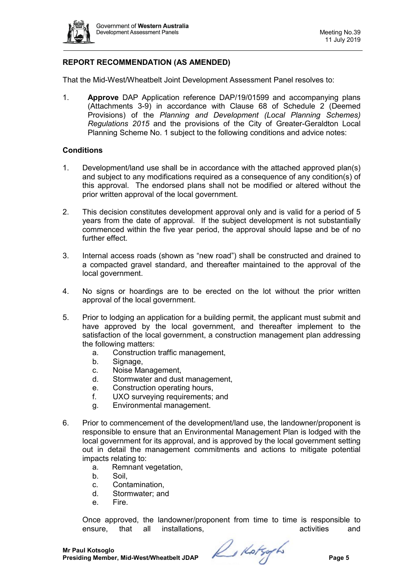

# **REPORT RECOMMENDATION (AS AMENDED)**

That the Mid-West/Wheatbelt Joint Development Assessment Panel resolves to:

1. **Approve** DAP Application reference DAP/19/01599 and accompanying plans (Attachments 3-9) in accordance with Clause 68 of Schedule 2 (Deemed Provisions) of the *Planning and Development (Local Planning Schemes) Regulations 2015* and the provisions of the City of Greater-Geraldton Local Planning Scheme No. 1 subject to the following conditions and advice notes:

#### **Conditions**

- 1. Development/land use shall be in accordance with the attached approved plan(s) and subject to any modifications required as a consequence of any condition(s) of this approval. The endorsed plans shall not be modified or altered without the prior written approval of the local government.
- 2. This decision constitutes development approval only and is valid for a period of 5 years from the date of approval. If the subject development is not substantially commenced within the five year period, the approval should lapse and be of no further effect.
- 3. Internal access roads (shown as "new road") shall be constructed and drained to a compacted gravel standard, and thereafter maintained to the approval of the local government.
- 4. No signs or hoardings are to be erected on the lot without the prior written approval of the local government.
- 5. Prior to lodging an application for a building permit, the applicant must submit and have approved by the local government, and thereafter implement to the satisfaction of the local government, a construction management plan addressing the following matters:
	- a. Construction traffic management,
	- b. Signage,
	- c. Noise Management,
	- d. Stormwater and dust management,
	- e. Construction operating hours,
	- f. UXO surveying requirements; and
	- g. Environmental management.
- 6. Prior to commencement of the development/land use, the landowner/proponent is responsible to ensure that an Environmental Management Plan is lodged with the local government for its approval, and is approved by the local government setting out in detail the management commitments and actions to mitigate potential impacts relating to:
	- a. Remnant vegetation,
	- b. Soil,
	- c. Contamination,
	- d. Stormwater; and
	- e. Fire.

Once approved, the landowner/proponent from time to time is responsible to ensure. that all installations. ensure, that all installations,

**Mr Paul Kotsoglo Presiding Member, Mid-West/Wheatbelt JDAP** *Presiding Member, Mid-West/Wheatbelt JDAP*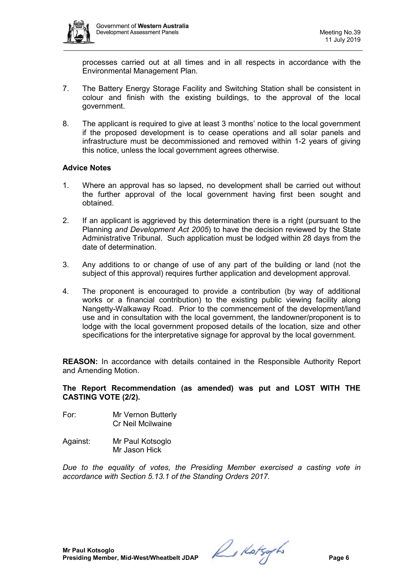

processes carried out at all times and in all respects in accordance with the Environmental Management Plan.

- 7. The Battery Energy Storage Facility and Switching Station shall be consistent in colour and finish with the existing buildings, to the approval of the local government.
- 8. The applicant is required to give at least 3 months' notice to the local government if the proposed development is to cease operations and all solar panels and infrastructure must be decommissioned and removed within 1-2 years of giving this notice, unless the local government agrees otherwise.

## **Advice Notes**

- 1. Where an approval has so lapsed, no development shall be carried out without the further approval of the local government having first been sought and obtained.
- 2. If an applicant is aggrieved by this determination there is a right (pursuant to the Planning *and Development Act 2005*) to have the decision reviewed by the State Administrative Tribunal. Such application must be lodged within 28 days from the date of determination.
- 3. Any additions to or change of use of any part of the building or land (not the subject of this approval) requires further application and development approval.
- 4. The proponent is encouraged to provide a contribution (by way of additional works or a financial contribution) to the existing public viewing facility along Nangetty-Walkaway Road. Prior to the commencement of the development/land use and in consultation with the local government, the landowner/proponent is to lodge with the local government proposed details of the location, size and other specifications for the interpretative signage for approval by the local government.

**REASON:** In accordance with details contained in the Responsible Authority Report and Amending Motion.

**The Report Recommendation (as amended) was put and LOST WITH THE CASTING VOTE (2/2).**

- For: Mr Vernon Butterly Cr Neil Mcilwaine
- Against: Mr Paul Kotsoglo Mr Jason Hick

*Due to the equality of votes, the Presiding Member exercised a casting vote in accordance with Section 5.13.1 of the Standing Orders 2017.*